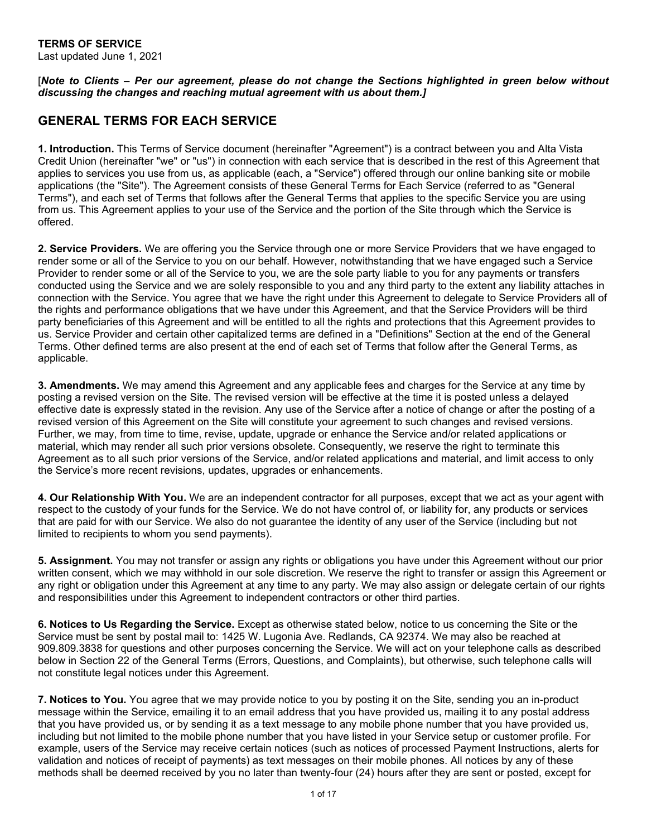## **TERMS OF SERVICE**

Last updated June 1, 2021

[*Note to Clients – Per our agreement, please do not change the Sections highlighted in green below without discussing the changes and reaching mutual agreement with us about them.]*

# **GENERAL TERMS FOR EACH SERVICE**

**1. Introduction.** This Terms of Service document (hereinafter "Agreement") is a contract between you and Alta Vista Credit Union (hereinafter "we" or "us") in connection with each service that is described in the rest of this Agreement that applies to services you use from us, as applicable (each, a "Service") offered through our online banking site or mobile applications (the "Site"). The Agreement consists of these General Terms for Each Service (referred to as "General Terms"), and each set of Terms that follows after the General Terms that applies to the specific Service you are using from us. This Agreement applies to your use of the Service and the portion of the Site through which the Service is offered.

**2. Service Providers.** We are offering you the Service through one or more Service Providers that we have engaged to render some or all of the Service to you on our behalf. However, notwithstanding that we have engaged such a Service Provider to render some or all of the Service to you, we are the sole party liable to you for any payments or transfers conducted using the Service and we are solely responsible to you and any third party to the extent any liability attaches in connection with the Service. You agree that we have the right under this Agreement to delegate to Service Providers all of the rights and performance obligations that we have under this Agreement, and that the Service Providers will be third party beneficiaries of this Agreement and will be entitled to all the rights and protections that this Agreement provides to us. Service Provider and certain other capitalized terms are defined in a "Definitions" Section at the end of the General Terms. Other defined terms are also present at the end of each set of Terms that follow after the General Terms, as applicable.

**3. Amendments.** We may amend this Agreement and any applicable fees and charges for the Service at any time by posting a revised version on the Site. The revised version will be effective at the time it is posted unless a delayed effective date is expressly stated in the revision. Any use of the Service after a notice of change or after the posting of a revised version of this Agreement on the Site will constitute your agreement to such changes and revised versions. Further, we may, from time to time, revise, update, upgrade or enhance the Service and/or related applications or material, which may render all such prior versions obsolete. Consequently, we reserve the right to terminate this Agreement as to all such prior versions of the Service, and/or related applications and material, and limit access to only the Service's more recent revisions, updates, upgrades or enhancements.

**4. Our Relationship With You.** We are an independent contractor for all purposes, except that we act as your agent with respect to the custody of your funds for the Service. We do not have control of, or liability for, any products or services that are paid for with our Service. We also do not guarantee the identity of any user of the Service (including but not limited to recipients to whom you send payments).

**5. Assignment.** You may not transfer or assign any rights or obligations you have under this Agreement without our prior written consent, which we may withhold in our sole discretion. We reserve the right to transfer or assign this Agreement or any right or obligation under this Agreement at any time to any party. We may also assign or delegate certain of our rights and responsibilities under this Agreement to independent contractors or other third parties.

**6. Notices to Us Regarding the Service.** Except as otherwise stated below, notice to us concerning the Site or the Service must be sent by postal mail to: 1425 W. Lugonia Ave. Redlands, CA 92374. We may also be reached at 909.809.3838 for questions and other purposes concerning the Service. We will act on your telephone calls as described below in Section 22 of the General Terms (Errors, Questions, and Complaints), but otherwise, such telephone calls will not constitute legal notices under this Agreement.

**7. Notices to You.** You agree that we may provide notice to you by posting it on the Site, sending you an in-product message within the Service, emailing it to an email address that you have provided us, mailing it to any postal address that you have provided us, or by sending it as a text message to any mobile phone number that you have provided us, including but not limited to the mobile phone number that you have listed in your Service setup or customer profile. For example, users of the Service may receive certain notices (such as notices of processed Payment Instructions, alerts for validation and notices of receipt of payments) as text messages on their mobile phones. All notices by any of these methods shall be deemed received by you no later than twenty-four (24) hours after they are sent or posted, except for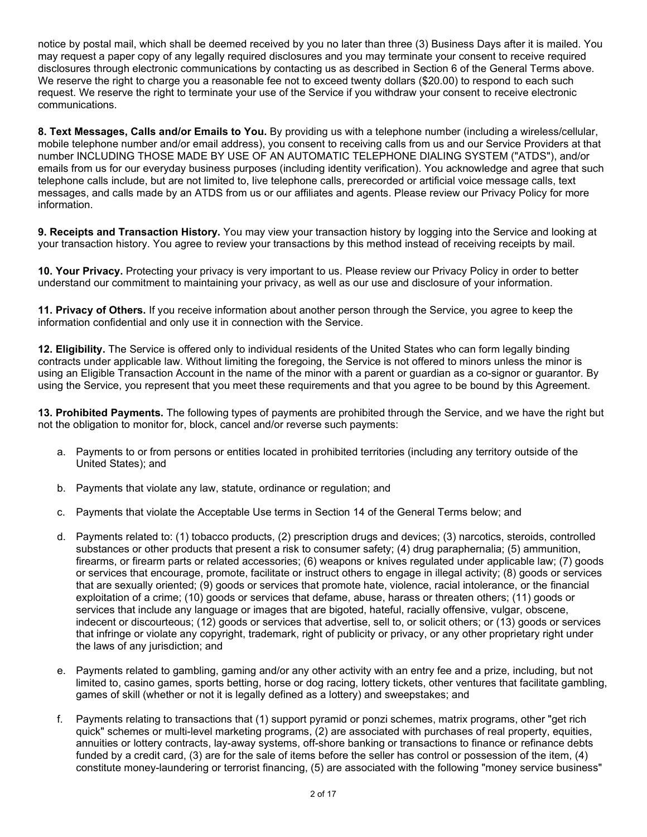notice by postal mail, which shall be deemed received by you no later than three (3) Business Days after it is mailed. You may request a paper copy of any legally required disclosures and you may terminate your consent to receive required disclosures through electronic communications by contacting us as described in Section 6 of the General Terms above. We reserve the right to charge you a reasonable fee not to exceed twenty dollars (\$20.00) to respond to each such request. We reserve the right to terminate your use of the Service if you withdraw your consent to receive electronic communications.

**8. Text Messages, Calls and/or Emails to You.** By providing us with a telephone number (including a wireless/cellular, mobile telephone number and/or email address), you consent to receiving calls from us and our Service Providers at that number INCLUDING THOSE MADE BY USE OF AN AUTOMATIC TELEPHONE DIALING SYSTEM ("ATDS"), and/or emails from us for our everyday business purposes (including identity verification). You acknowledge and agree that such telephone calls include, but are not limited to, live telephone calls, prerecorded or artificial voice message calls, text messages, and calls made by an ATDS from us or our affiliates and agents. Please review our Privacy Policy for more information.

**9. Receipts and Transaction History.** You may view your transaction history by logging into the Service and looking at your transaction history. You agree to review your transactions by this method instead of receiving receipts by mail.

**10. Your Privacy.** Protecting your privacy is very important to us. Please review our Privacy Policy in order to better understand our commitment to maintaining your privacy, as well as our use and disclosure of your information.

**11. Privacy of Others.** If you receive information about another person through the Service, you agree to keep the information confidential and only use it in connection with the Service.

**12. Eligibility.** The Service is offered only to individual residents of the United States who can form legally binding contracts under applicable law. Without limiting the foregoing, the Service is not offered to minors unless the minor is using an Eligible Transaction Account in the name of the minor with a parent or guardian as a co-signor or guarantor. By using the Service, you represent that you meet these requirements and that you agree to be bound by this Agreement.

**13. Prohibited Payments.** The following types of payments are prohibited through the Service, and we have the right but not the obligation to monitor for, block, cancel and/or reverse such payments:

- a. Payments to or from persons or entities located in prohibited territories (including any territory outside of the United States); and
- b. Payments that violate any law, statute, ordinance or regulation; and
- c. Payments that violate the Acceptable Use terms in Section 14 of the General Terms below; and
- d. Payments related to: (1) tobacco products, (2) prescription drugs and devices; (3) narcotics, steroids, controlled substances or other products that present a risk to consumer safety; (4) drug paraphernalia; (5) ammunition, firearms, or firearm parts or related accessories; (6) weapons or knives regulated under applicable law; (7) goods or services that encourage, promote, facilitate or instruct others to engage in illegal activity; (8) goods or services that are sexually oriented; (9) goods or services that promote hate, violence, racial intolerance, or the financial exploitation of a crime; (10) goods or services that defame, abuse, harass or threaten others; (11) goods or services that include any language or images that are bigoted, hateful, racially offensive, vulgar, obscene, indecent or discourteous; (12) goods or services that advertise, sell to, or solicit others; or (13) goods or services that infringe or violate any copyright, trademark, right of publicity or privacy, or any other proprietary right under the laws of any jurisdiction; and
- e. Payments related to gambling, gaming and/or any other activity with an entry fee and a prize, including, but not limited to, casino games, sports betting, horse or dog racing, lottery tickets, other ventures that facilitate gambling, games of skill (whether or not it is legally defined as a lottery) and sweepstakes; and
- f. Payments relating to transactions that (1) support pyramid or ponzi schemes, matrix programs, other "get rich quick" schemes or multi-level marketing programs, (2) are associated with purchases of real property, equities, annuities or lottery contracts, lay-away systems, off-shore banking or transactions to finance or refinance debts funded by a credit card, (3) are for the sale of items before the seller has control or possession of the item, (4) constitute money-laundering or terrorist financing, (5) are associated with the following "money service business"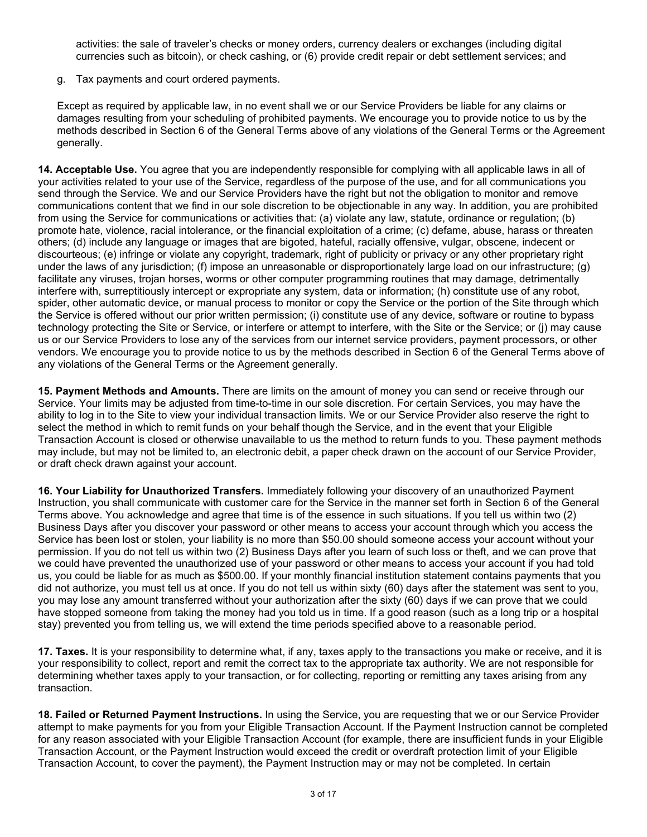activities: the sale of traveler's checks or money orders, currency dealers or exchanges (including digital currencies such as bitcoin), or check cashing, or (6) provide credit repair or debt settlement services; and

g. Tax payments and court ordered payments.

Except as required by applicable law, in no event shall we or our Service Providers be liable for any claims or damages resulting from your scheduling of prohibited payments. We encourage you to provide notice to us by the methods described in Section 6 of the General Terms above of any violations of the General Terms or the Agreement generally.

**14. Acceptable Use.** You agree that you are independently responsible for complying with all applicable laws in all of your activities related to your use of the Service, regardless of the purpose of the use, and for all communications you send through the Service. We and our Service Providers have the right but not the obligation to monitor and remove communications content that we find in our sole discretion to be objectionable in any way. In addition, you are prohibited from using the Service for communications or activities that: (a) violate any law, statute, ordinance or regulation; (b) promote hate, violence, racial intolerance, or the financial exploitation of a crime; (c) defame, abuse, harass or threaten others; (d) include any language or images that are bigoted, hateful, racially offensive, vulgar, obscene, indecent or discourteous; (e) infringe or violate any copyright, trademark, right of publicity or privacy or any other proprietary right under the laws of any jurisdiction; (f) impose an unreasonable or disproportionately large load on our infrastructure; (g) facilitate any viruses, trojan horses, worms or other computer programming routines that may damage, detrimentally interfere with, surreptitiously intercept or expropriate any system, data or information; (h) constitute use of any robot, spider, other automatic device, or manual process to monitor or copy the Service or the portion of the Site through which the Service is offered without our prior written permission; (i) constitute use of any device, software or routine to bypass technology protecting the Site or Service, or interfere or attempt to interfere, with the Site or the Service; or (j) may cause us or our Service Providers to lose any of the services from our internet service providers, payment processors, or other vendors. We encourage you to provide notice to us by the methods described in Section 6 of the General Terms above of any violations of the General Terms or the Agreement generally.

**15. Payment Methods and Amounts.** There are limits on the amount of money you can send or receive through our Service. Your limits may be adjusted from time-to-time in our sole discretion. For certain Services, you may have the ability to log in to the Site to view your individual transaction limits. We or our Service Provider also reserve the right to select the method in which to remit funds on your behalf though the Service, and in the event that your Eligible Transaction Account is closed or otherwise unavailable to us the method to return funds to you. These payment methods may include, but may not be limited to, an electronic debit, a paper check drawn on the account of our Service Provider, or draft check drawn against your account.

**16. Your Liability for Unauthorized Transfers.** Immediately following your discovery of an unauthorized Payment Instruction, you shall communicate with customer care for the Service in the manner set forth in Section 6 of the General Terms above. You acknowledge and agree that time is of the essence in such situations. If you tell us within two (2) Business Days after you discover your password or other means to access your account through which you access the Service has been lost or stolen, your liability is no more than \$50.00 should someone access your account without your permission. If you do not tell us within two (2) Business Days after you learn of such loss or theft, and we can prove that we could have prevented the unauthorized use of your password or other means to access your account if you had told us, you could be liable for as much as \$500.00. If your monthly financial institution statement contains payments that you did not authorize, you must tell us at once. If you do not tell us within sixty (60) days after the statement was sent to you, you may lose any amount transferred without your authorization after the sixty (60) days if we can prove that we could have stopped someone from taking the money had you told us in time. If a good reason (such as a long trip or a hospital stay) prevented you from telling us, we will extend the time periods specified above to a reasonable period.

**17. Taxes.** It is your responsibility to determine what, if any, taxes apply to the transactions you make or receive, and it is your responsibility to collect, report and remit the correct tax to the appropriate tax authority. We are not responsible for determining whether taxes apply to your transaction, or for collecting, reporting or remitting any taxes arising from any transaction.

**18. Failed or Returned Payment Instructions.** In using the Service, you are requesting that we or our Service Provider attempt to make payments for you from your Eligible Transaction Account. If the Payment Instruction cannot be completed for any reason associated with your Eligible Transaction Account (for example, there are insufficient funds in your Eligible Transaction Account, or the Payment Instruction would exceed the credit or overdraft protection limit of your Eligible Transaction Account, to cover the payment), the Payment Instruction may or may not be completed. In certain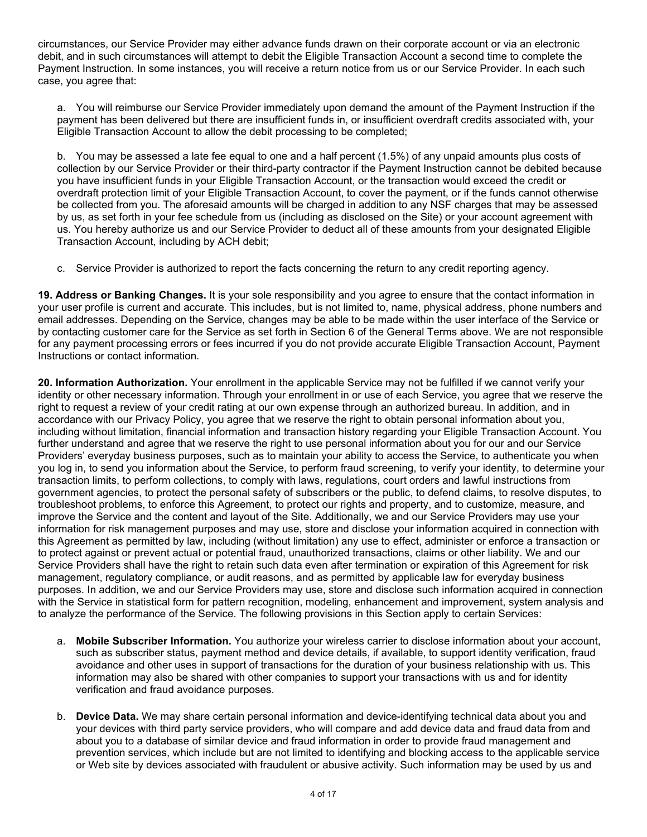circumstances, our Service Provider may either advance funds drawn on their corporate account or via an electronic debit, and in such circumstances will attempt to debit the Eligible Transaction Account a second time to complete the Payment Instruction. In some instances, you will receive a return notice from us or our Service Provider. In each such case, you agree that:

a. You will reimburse our Service Provider immediately upon demand the amount of the Payment Instruction if the payment has been delivered but there are insufficient funds in, or insufficient overdraft credits associated with, your Eligible Transaction Account to allow the debit processing to be completed;

b. You may be assessed a late fee equal to one and a half percent (1.5%) of any unpaid amounts plus costs of collection by our Service Provider or their third-party contractor if the Payment Instruction cannot be debited because you have insufficient funds in your Eligible Transaction Account, or the transaction would exceed the credit or overdraft protection limit of your Eligible Transaction Account, to cover the payment, or if the funds cannot otherwise be collected from you. The aforesaid amounts will be charged in addition to any NSF charges that may be assessed by us, as set forth in your fee schedule from us (including as disclosed on the Site) or your account agreement with us. You hereby authorize us and our Service Provider to deduct all of these amounts from your designated Eligible Transaction Account, including by ACH debit;

c. Service Provider is authorized to report the facts concerning the return to any credit reporting agency.

**19. Address or Banking Changes.** It is your sole responsibility and you agree to ensure that the contact information in your user profile is current and accurate. This includes, but is not limited to, name, physical address, phone numbers and email addresses. Depending on the Service, changes may be able to be made within the user interface of the Service or by contacting customer care for the Service as set forth in Section 6 of the General Terms above. We are not responsible for any payment processing errors or fees incurred if you do not provide accurate Eligible Transaction Account, Payment Instructions or contact information.

**20. Information Authorization.** Your enrollment in the applicable Service may not be fulfilled if we cannot verify your identity or other necessary information. Through your enrollment in or use of each Service, you agree that we reserve the right to request a review of your credit rating at our own expense through an authorized bureau. In addition, and in accordance with our Privacy Policy, you agree that we reserve the right to obtain personal information about you, including without limitation, financial information and transaction history regarding your Eligible Transaction Account. You further understand and agree that we reserve the right to use personal information about you for our and our Service Providers' everyday business purposes, such as to maintain your ability to access the Service, to authenticate you when you log in, to send you information about the Service, to perform fraud screening, to verify your identity, to determine your transaction limits, to perform collections, to comply with laws, regulations, court orders and lawful instructions from government agencies, to protect the personal safety of subscribers or the public, to defend claims, to resolve disputes, to troubleshoot problems, to enforce this Agreement, to protect our rights and property, and to customize, measure, and improve the Service and the content and layout of the Site. Additionally, we and our Service Providers may use your information for risk management purposes and may use, store and disclose your information acquired in connection with this Agreement as permitted by law, including (without limitation) any use to effect, administer or enforce a transaction or to protect against or prevent actual or potential fraud, unauthorized transactions, claims or other liability. We and our Service Providers shall have the right to retain such data even after termination or expiration of this Agreement for risk management, regulatory compliance, or audit reasons, and as permitted by applicable law for everyday business purposes. In addition, we and our Service Providers may use, store and disclose such information acquired in connection with the Service in statistical form for pattern recognition, modeling, enhancement and improvement, system analysis and to analyze the performance of the Service. The following provisions in this Section apply to certain Services:

- a. **Mobile Subscriber Information.** You authorize your wireless carrier to disclose information about your account, such as subscriber status, payment method and device details, if available, to support identity verification, fraud avoidance and other uses in support of transactions for the duration of your business relationship with us. This information may also be shared with other companies to support your transactions with us and for identity verification and fraud avoidance purposes.
- b. **Device Data.** We may share certain personal information and device-identifying technical data about you and your devices with third party service providers, who will compare and add device data and fraud data from and about you to a database of similar device and fraud information in order to provide fraud management and prevention services, which include but are not limited to identifying and blocking access to the applicable service or Web site by devices associated with fraudulent or abusive activity. Such information may be used by us and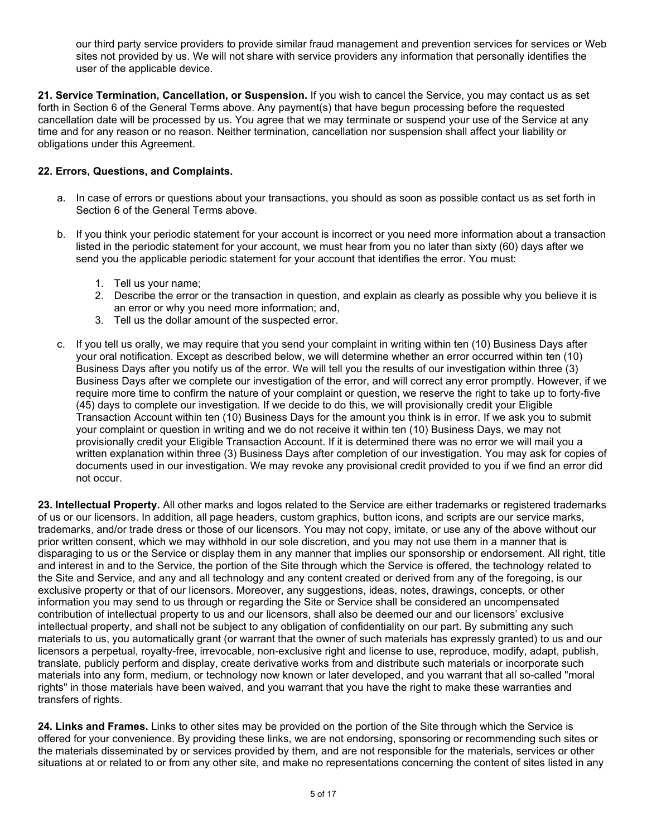our third party service providers to provide similar fraud management and prevention services for services or Web sites not provided by us. We will not share with service providers any information that personally identifies the user of the applicable device.

**21. Service Termination, Cancellation, or Suspension.** If you wish to cancel the Service, you may contact us as set forth in Section 6 of the General Terms above. Any payment(s) that have begun processing before the requested cancellation date will be processed by us. You agree that we may terminate or suspend your use of the Service at any time and for any reason or no reason. Neither termination, cancellation nor suspension shall affect your liability or obligations under this Agreement.

## **22. Errors, Questions, and Complaints.**

- a. In case of errors or questions about your transactions, you should as soon as possible contact us as set forth in Section 6 of the General Terms above.
- b. If you think your periodic statement for your account is incorrect or you need more information about a transaction listed in the periodic statement for your account, we must hear from you no later than sixty (60) days after we send you the applicable periodic statement for your account that identifies the error. You must:
	- 1. Tell us your name;
	- 2. Describe the error or the transaction in question, and explain as clearly as possible why you believe it is an error or why you need more information; and,
	- 3. Tell us the dollar amount of the suspected error.
- c. If you tell us orally, we may require that you send your complaint in writing within ten (10) Business Days after your oral notification. Except as described below, we will determine whether an error occurred within ten (10) Business Days after you notify us of the error. We will tell you the results of our investigation within three (3) Business Days after we complete our investigation of the error, and will correct any error promptly. However, if we require more time to confirm the nature of your complaint or question, we reserve the right to take up to forty-five (45) days to complete our investigation. If we decide to do this, we will provisionally credit your Eligible Transaction Account within ten (10) Business Days for the amount you think is in error. If we ask you to submit your complaint or question in writing and we do not receive it within ten (10) Business Days, we may not provisionally credit your Eligible Transaction Account. If it is determined there was no error we will mail you a written explanation within three (3) Business Days after completion of our investigation. You may ask for copies of documents used in our investigation. We may revoke any provisional credit provided to you if we find an error did not occur.

**23. Intellectual Property.** All other marks and logos related to the Service are either trademarks or registered trademarks of us or our licensors. In addition, all page headers, custom graphics, button icons, and scripts are our service marks, trademarks, and/or trade dress or those of our licensors. You may not copy, imitate, or use any of the above without our prior written consent, which we may withhold in our sole discretion, and you may not use them in a manner that is disparaging to us or the Service or display them in any manner that implies our sponsorship or endorsement. All right, title and interest in and to the Service, the portion of the Site through which the Service is offered, the technology related to the Site and Service, and any and all technology and any content created or derived from any of the foregoing, is our exclusive property or that of our licensors. Moreover, any suggestions, ideas, notes, drawings, concepts, or other information you may send to us through or regarding the Site or Service shall be considered an uncompensated contribution of intellectual property to us and our licensors, shall also be deemed our and our licensors' exclusive intellectual property, and shall not be subject to any obligation of confidentiality on our part. By submitting any such materials to us, you automatically grant (or warrant that the owner of such materials has expressly granted) to us and our licensors a perpetual, royalty-free, irrevocable, non-exclusive right and license to use, reproduce, modify, adapt, publish, translate, publicly perform and display, create derivative works from and distribute such materials or incorporate such materials into any form, medium, or technology now known or later developed, and you warrant that all so-called "moral rights" in those materials have been waived, and you warrant that you have the right to make these warranties and transfers of rights.

**24. Links and Frames.** Links to other sites may be provided on the portion of the Site through which the Service is offered for your convenience. By providing these links, we are not endorsing, sponsoring or recommending such sites or the materials disseminated by or services provided by them, and are not responsible for the materials, services or other situations at or related to or from any other site, and make no representations concerning the content of sites listed in any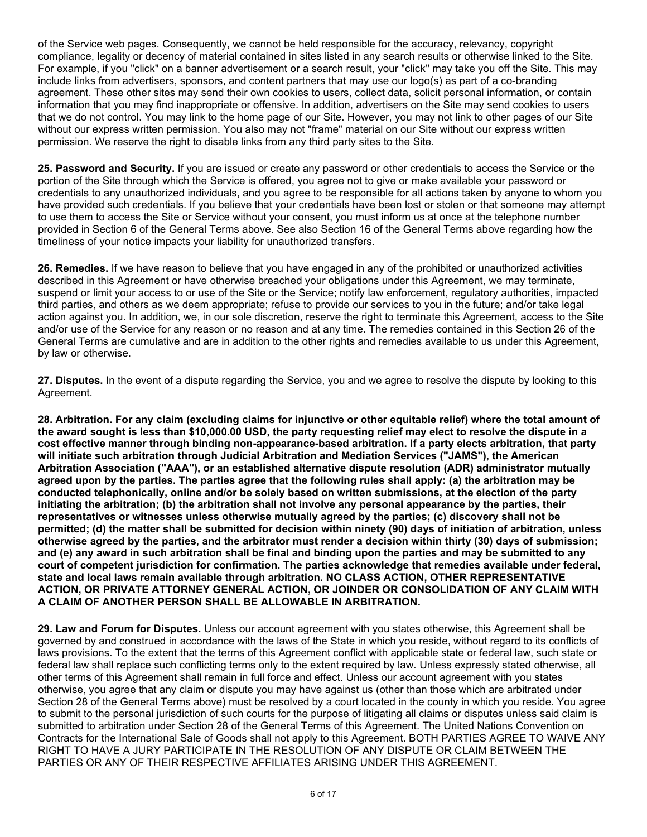of the Service web pages. Consequently, we cannot be held responsible for the accuracy, relevancy, copyright compliance, legality or decency of material contained in sites listed in any search results or otherwise linked to the Site. For example, if you "click" on a banner advertisement or a search result, your "click" may take you off the Site. This may include links from advertisers, sponsors, and content partners that may use our logo(s) as part of a co-branding agreement. These other sites may send their own cookies to users, collect data, solicit personal information, or contain information that you may find inappropriate or offensive. In addition, advertisers on the Site may send cookies to users that we do not control. You may link to the home page of our Site. However, you may not link to other pages of our Site without our express written permission. You also may not "frame" material on our Site without our express written permission. We reserve the right to disable links from any third party sites to the Site.

**25. Password and Security.** If you are issued or create any password or other credentials to access the Service or the portion of the Site through which the Service is offered, you agree not to give or make available your password or credentials to any unauthorized individuals, and you agree to be responsible for all actions taken by anyone to whom you have provided such credentials. If you believe that your credentials have been lost or stolen or that someone may attempt to use them to access the Site or Service without your consent, you must inform us at once at the telephone number provided in Section 6 of the General Terms above. See also Section 16 of the General Terms above regarding how the timeliness of your notice impacts your liability for unauthorized transfers.

**26. Remedies.** If we have reason to believe that you have engaged in any of the prohibited or unauthorized activities described in this Agreement or have otherwise breached your obligations under this Agreement, we may terminate, suspend or limit your access to or use of the Site or the Service; notify law enforcement, regulatory authorities, impacted third parties, and others as we deem appropriate; refuse to provide our services to you in the future; and/or take legal action against you. In addition, we, in our sole discretion, reserve the right to terminate this Agreement, access to the Site and/or use of the Service for any reason or no reason and at any time. The remedies contained in this Section 26 of the General Terms are cumulative and are in addition to the other rights and remedies available to us under this Agreement, by law or otherwise.

**27. Disputes.** In the event of a dispute regarding the Service, you and we agree to resolve the dispute by looking to this Agreement.

**28. Arbitration. For any claim (excluding claims for injunctive or other equitable relief) where the total amount of the award sought is less than \$10,000.00 USD, the party requesting relief may elect to resolve the dispute in a cost effective manner through binding non-appearance-based arbitration. If a party elects arbitration, that party will initiate such arbitration through Judicial Arbitration and Mediation Services ("JAMS"), the American Arbitration Association ("AAA"), or an established alternative dispute resolution (ADR) administrator mutually agreed upon by the parties. The parties agree that the following rules shall apply: (a) the arbitration may be conducted telephonically, online and/or be solely based on written submissions, at the election of the party initiating the arbitration; (b) the arbitration shall not involve any personal appearance by the parties, their representatives or witnesses unless otherwise mutually agreed by the parties; (c) discovery shall not be permitted; (d) the matter shall be submitted for decision within ninety (90) days of initiation of arbitration, unless otherwise agreed by the parties, and the arbitrator must render a decision within thirty (30) days of submission; and (e) any award in such arbitration shall be final and binding upon the parties and may be submitted to any court of competent jurisdiction for confirmation. The parties acknowledge that remedies available under federal, state and local laws remain available through arbitration. NO CLASS ACTION, OTHER REPRESENTATIVE ACTION, OR PRIVATE ATTORNEY GENERAL ACTION, OR JOINDER OR CONSOLIDATION OF ANY CLAIM WITH A CLAIM OF ANOTHER PERSON SHALL BE ALLOWABLE IN ARBITRATION.**

**29. Law and Forum for Disputes.** Unless our account agreement with you states otherwise, this Agreement shall be governed by and construed in accordance with the laws of the State in which you reside, without regard to its conflicts of laws provisions. To the extent that the terms of this Agreement conflict with applicable state or federal law, such state or federal law shall replace such conflicting terms only to the extent required by law. Unless expressly stated otherwise, all other terms of this Agreement shall remain in full force and effect. Unless our account agreement with you states otherwise, you agree that any claim or dispute you may have against us (other than those which are arbitrated under Section 28 of the General Terms above) must be resolved by a court located in the county in which you reside. You agree to submit to the personal jurisdiction of such courts for the purpose of litigating all claims or disputes unless said claim is submitted to arbitration under Section 28 of the General Terms of this Agreement. The United Nations Convention on Contracts for the International Sale of Goods shall not apply to this Agreement. BOTH PARTIES AGREE TO WAIVE ANY RIGHT TO HAVE A JURY PARTICIPATE IN THE RESOLUTION OF ANY DISPUTE OR CLAIM BETWEEN THE PARTIES OR ANY OF THEIR RESPECTIVE AFFILIATES ARISING UNDER THIS AGREEMENT.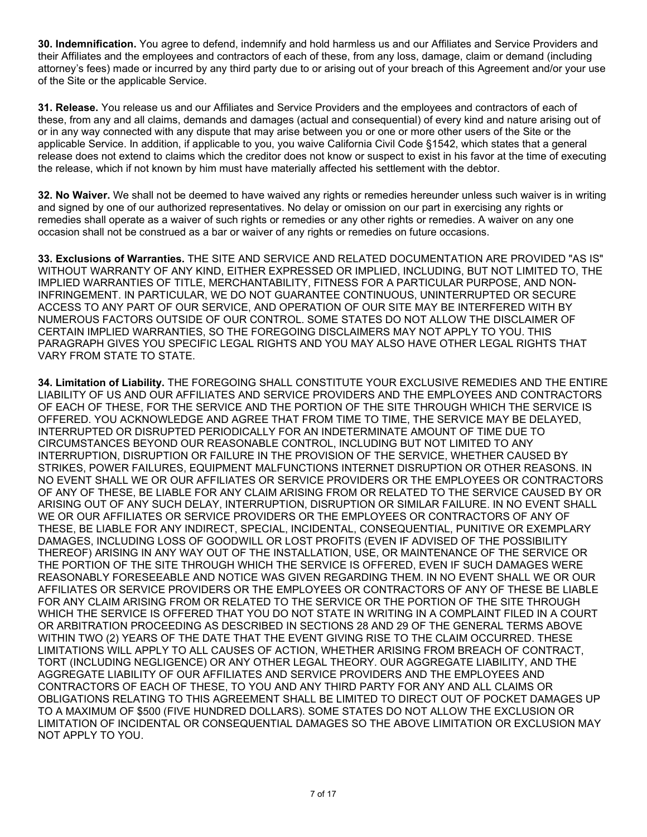**30. Indemnification.** You agree to defend, indemnify and hold harmless us and our Affiliates and Service Providers and their Affiliates and the employees and contractors of each of these, from any loss, damage, claim or demand (including attorney's fees) made or incurred by any third party due to or arising out of your breach of this Agreement and/or your use of the Site or the applicable Service.

**31. Release.** You release us and our Affiliates and Service Providers and the employees and contractors of each of these, from any and all claims, demands and damages (actual and consequential) of every kind and nature arising out of or in any way connected with any dispute that may arise between you or one or more other users of the Site or the applicable Service. In addition, if applicable to you, you waive California Civil Code §1542, which states that a general release does not extend to claims which the creditor does not know or suspect to exist in his favor at the time of executing the release, which if not known by him must have materially affected his settlement with the debtor.

**32. No Waiver.** We shall not be deemed to have waived any rights or remedies hereunder unless such waiver is in writing and signed by one of our authorized representatives. No delay or omission on our part in exercising any rights or remedies shall operate as a waiver of such rights or remedies or any other rights or remedies. A waiver on any one occasion shall not be construed as a bar or waiver of any rights or remedies on future occasions.

**33. Exclusions of Warranties.** THE SITE AND SERVICE AND RELATED DOCUMENTATION ARE PROVIDED "AS IS" WITHOUT WARRANTY OF ANY KIND, EITHER EXPRESSED OR IMPLIED, INCLUDING, BUT NOT LIMITED TO, THE IMPLIED WARRANTIES OF TITLE, MERCHANTABILITY, FITNESS FOR A PARTICULAR PURPOSE, AND NON-INFRINGEMENT. IN PARTICULAR, WE DO NOT GUARANTEE CONTINUOUS, UNINTERRUPTED OR SECURE ACCESS TO ANY PART OF OUR SERVICE, AND OPERATION OF OUR SITE MAY BE INTERFERED WITH BY NUMEROUS FACTORS OUTSIDE OF OUR CONTROL. SOME STATES DO NOT ALLOW THE DISCLAIMER OF CERTAIN IMPLIED WARRANTIES, SO THE FOREGOING DISCLAIMERS MAY NOT APPLY TO YOU. THIS PARAGRAPH GIVES YOU SPECIFIC LEGAL RIGHTS AND YOU MAY ALSO HAVE OTHER LEGAL RIGHTS THAT VARY FROM STATE TO STATE.

**34. Limitation of Liability.** THE FOREGOING SHALL CONSTITUTE YOUR EXCLUSIVE REMEDIES AND THE ENTIRE LIABILITY OF US AND OUR AFFILIATES AND SERVICE PROVIDERS AND THE EMPLOYEES AND CONTRACTORS OF EACH OF THESE, FOR THE SERVICE AND THE PORTION OF THE SITE THROUGH WHICH THE SERVICE IS OFFERED. YOU ACKNOWLEDGE AND AGREE THAT FROM TIME TO TIME, THE SERVICE MAY BE DELAYED, INTERRUPTED OR DISRUPTED PERIODICALLY FOR AN INDETERMINATE AMOUNT OF TIME DUE TO CIRCUMSTANCES BEYOND OUR REASONABLE CONTROL, INCLUDING BUT NOT LIMITED TO ANY INTERRUPTION, DISRUPTION OR FAILURE IN THE PROVISION OF THE SERVICE, WHETHER CAUSED BY STRIKES, POWER FAILURES, EQUIPMENT MALFUNCTIONS INTERNET DISRUPTION OR OTHER REASONS. IN NO EVENT SHALL WE OR OUR AFFILIATES OR SERVICE PROVIDERS OR THE EMPLOYEES OR CONTRACTORS OF ANY OF THESE, BE LIABLE FOR ANY CLAIM ARISING FROM OR RELATED TO THE SERVICE CAUSED BY OR ARISING OUT OF ANY SUCH DELAY, INTERRUPTION, DISRUPTION OR SIMILAR FAILURE. IN NO EVENT SHALL WE OR OUR AFFILIATES OR SERVICE PROVIDERS OR THE EMPLOYEES OR CONTRACTORS OF ANY OF THESE, BE LIABLE FOR ANY INDIRECT, SPECIAL, INCIDENTAL, CONSEQUENTIAL, PUNITIVE OR EXEMPLARY DAMAGES, INCLUDING LOSS OF GOODWILL OR LOST PROFITS (EVEN IF ADVISED OF THE POSSIBILITY THEREOF) ARISING IN ANY WAY OUT OF THE INSTALLATION, USE, OR MAINTENANCE OF THE SERVICE OR THE PORTION OF THE SITE THROUGH WHICH THE SERVICE IS OFFERED, EVEN IF SUCH DAMAGES WERE REASONABLY FORESEEABLE AND NOTICE WAS GIVEN REGARDING THEM. IN NO EVENT SHALL WE OR OUR AFFILIATES OR SERVICE PROVIDERS OR THE EMPLOYEES OR CONTRACTORS OF ANY OF THESE BE LIABLE FOR ANY CLAIM ARISING FROM OR RELATED TO THE SERVICE OR THE PORTION OF THE SITE THROUGH WHICH THE SERVICE IS OFFERED THAT YOU DO NOT STATE IN WRITING IN A COMPLAINT FILED IN A COURT OR ARBITRATION PROCEEDING AS DESCRIBED IN SECTIONS 28 AND 29 OF THE GENERAL TERMS ABOVE WITHIN TWO (2) YEARS OF THE DATE THAT THE EVENT GIVING RISE TO THE CLAIM OCCURRED. THESE LIMITATIONS WILL APPLY TO ALL CAUSES OF ACTION, WHETHER ARISING FROM BREACH OF CONTRACT, TORT (INCLUDING NEGLIGENCE) OR ANY OTHER LEGAL THEORY. OUR AGGREGATE LIABILITY, AND THE AGGREGATE LIABILITY OF OUR AFFILIATES AND SERVICE PROVIDERS AND THE EMPLOYEES AND CONTRACTORS OF EACH OF THESE, TO YOU AND ANY THIRD PARTY FOR ANY AND ALL CLAIMS OR OBLIGATIONS RELATING TO THIS AGREEMENT SHALL BE LIMITED TO DIRECT OUT OF POCKET DAMAGES UP TO A MAXIMUM OF \$500 (FIVE HUNDRED DOLLARS). SOME STATES DO NOT ALLOW THE EXCLUSION OR LIMITATION OF INCIDENTAL OR CONSEQUENTIAL DAMAGES SO THE ABOVE LIMITATION OR EXCLUSION MAY NOT APPLY TO YOU.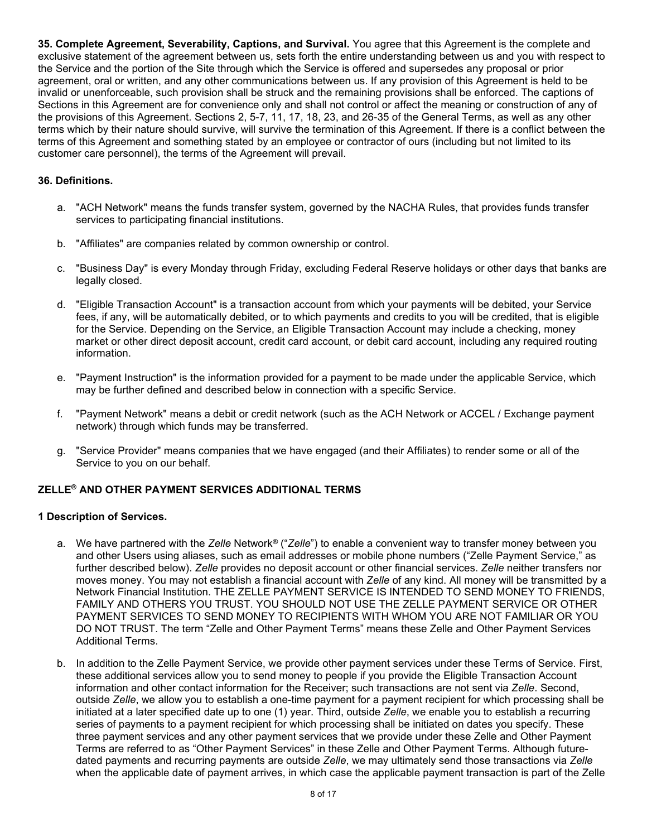**35. Complete Agreement, Severability, Captions, and Survival.** You agree that this Agreement is the complete and exclusive statement of the agreement between us, sets forth the entire understanding between us and you with respect to the Service and the portion of the Site through which the Service is offered and supersedes any proposal or prior agreement, oral or written, and any other communications between us. If any provision of this Agreement is held to be invalid or unenforceable, such provision shall be struck and the remaining provisions shall be enforced. The captions of Sections in this Agreement are for convenience only and shall not control or affect the meaning or construction of any of the provisions of this Agreement. Sections 2, 5-7, 11, 17, 18, 23, and 26-35 of the General Terms, as well as any other terms which by their nature should survive, will survive the termination of this Agreement. If there is a conflict between the terms of this Agreement and something stated by an employee or contractor of ours (including but not limited to its customer care personnel), the terms of the Agreement will prevail.

## **36. Definitions.**

- a. "ACH Network" means the funds transfer system, governed by the NACHA Rules, that provides funds transfer services to participating financial institutions.
- b. "Affiliates" are companies related by common ownership or control.
- c. "Business Day" is every Monday through Friday, excluding Federal Reserve holidays or other days that banks are legally closed.
- d. "Eligible Transaction Account" is a transaction account from which your payments will be debited, your Service fees, if any, will be automatically debited, or to which payments and credits to you will be credited, that is eligible for the Service. Depending on the Service, an Eligible Transaction Account may include a checking, money market or other direct deposit account, credit card account, or debit card account, including any required routing information.
- e. "Payment Instruction" is the information provided for a payment to be made under the applicable Service, which may be further defined and described below in connection with a specific Service.
- f. "Payment Network" means a debit or credit network (such as the ACH Network or ACCEL / Exchange payment network) through which funds may be transferred.
- g. "Service Provider" means companies that we have engaged (and their Affiliates) to render some or all of the Service to you on our behalf.

## **ZELLE® AND OTHER PAYMENT SERVICES ADDITIONAL TERMS**

#### **1 Description of Services.**

- a. We have partnered with the *Zelle* Network*®* ("*Zelle*") to enable a convenient way to transfer money between you and other Users using aliases, such as email addresses or mobile phone numbers ("Zelle Payment Service," as further described below). *Zelle* provides no deposit account or other financial services. *Zelle* neither transfers nor moves money. You may not establish a financial account with *Zelle* of any kind. All money will be transmitted by a Network Financial Institution. THE ZELLE PAYMENT SERVICE IS INTENDED TO SEND MONEY TO FRIENDS, FAMILY AND OTHERS YOU TRUST. YOU SHOULD NOT USE THE ZELLE PAYMENT SERVICE OR OTHER PAYMENT SERVICES TO SEND MONEY TO RECIPIENTS WITH WHOM YOU ARE NOT FAMILIAR OR YOU DO NOT TRUST. The term "Zelle and Other Payment Terms" means these Zelle and Other Payment Services Additional Terms.
- b. In addition to the Zelle Payment Service, we provide other payment services under these Terms of Service. First, these additional services allow you to send money to people if you provide the Eligible Transaction Account information and other contact information for the Receiver; such transactions are not sent via *Zelle*. Second, outside *Zelle*, we allow you to establish a one-time payment for a payment recipient for which processing shall be initiated at a later specified date up to one (1) year. Third, outside *Zelle*, we enable you to establish a recurring series of payments to a payment recipient for which processing shall be initiated on dates you specify. These three payment services and any other payment services that we provide under these Zelle and Other Payment Terms are referred to as "Other Payment Services" in these Zelle and Other Payment Terms. Although futuredated payments and recurring payments are outside *Zelle*, we may ultimately send those transactions via *Zelle* when the applicable date of payment arrives, in which case the applicable payment transaction is part of the Zelle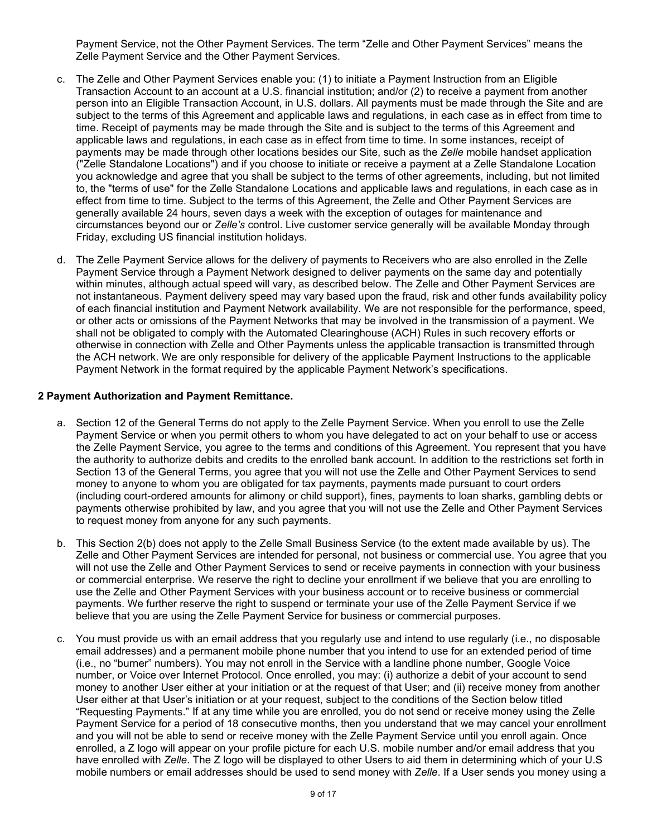Payment Service, not the Other Payment Services. The term "Zelle and Other Payment Services" means the Zelle Payment Service and the Other Payment Services.

- c. The Zelle and Other Payment Services enable you: (1) to initiate a Payment Instruction from an Eligible Transaction Account to an account at a U.S. financial institution; and/or (2) to receive a payment from another person into an Eligible Transaction Account, in U.S. dollars. All payments must be made through the Site and are subject to the terms of this Agreement and applicable laws and regulations, in each case as in effect from time to time. Receipt of payments may be made through the Site and is subject to the terms of this Agreement and applicable laws and regulations, in each case as in effect from time to time. In some instances, receipt of payments may be made through other locations besides our Site, such as the *Zelle* mobile handset application ("Zelle Standalone Locations") and if you choose to initiate or receive a payment at a Zelle Standalone Location you acknowledge and agree that you shall be subject to the terms of other agreements, including, but not limited to, the "terms of use" for the Zelle Standalone Locations and applicable laws and regulations, in each case as in effect from time to time. Subject to the terms of this Agreement, the Zelle and Other Payment Services are generally available 24 hours, seven days a week with the exception of outages for maintenance and circumstances beyond our or *Zelle's* control. Live customer service generally will be available Monday through Friday, excluding US financial institution holidays.
- d. The Zelle Payment Service allows for the delivery of payments to Receivers who are also enrolled in the Zelle Payment Service through a Payment Network designed to deliver payments on the same day and potentially within minutes, although actual speed will vary, as described below. The Zelle and Other Payment Services are not instantaneous. Payment delivery speed may vary based upon the fraud, risk and other funds availability policy of each financial institution and Payment Network availability. We are not responsible for the performance, speed, or other acts or omissions of the Payment Networks that may be involved in the transmission of a payment. We shall not be obligated to comply with the Automated Clearinghouse (ACH) Rules in such recovery efforts or otherwise in connection with Zelle and Other Payments unless the applicable transaction is transmitted through the ACH network. We are only responsible for delivery of the applicable Payment Instructions to the applicable Payment Network in the format required by the applicable Payment Network's specifications.

#### **2 Payment Authorization and Payment Remittance.**

- a. Section 12 of the General Terms do not apply to the Zelle Payment Service. When you enroll to use the Zelle Payment Service or when you permit others to whom you have delegated to act on your behalf to use or access the Zelle Payment Service, you agree to the terms and conditions of this Agreement. You represent that you have the authority to authorize debits and credits to the enrolled bank account. In addition to the restrictions set forth in Section 13 of the General Terms, you agree that you will not use the Zelle and Other Payment Services to send money to anyone to whom you are obligated for tax payments, payments made pursuant to court orders (including court-ordered amounts for alimony or child support), fines, payments to loan sharks, gambling debts or payments otherwise prohibited by law, and you agree that you will not use the Zelle and Other Payment Services to request money from anyone for any such payments.
- b. This Section 2(b) does not apply to the Zelle Small Business Service (to the extent made available by us). The Zelle and Other Payment Services are intended for personal, not business or commercial use. You agree that you will not use the Zelle and Other Payment Services to send or receive payments in connection with your business or commercial enterprise. We reserve the right to decline your enrollment if we believe that you are enrolling to use the Zelle and Other Payment Services with your business account or to receive business or commercial payments. We further reserve the right to suspend or terminate your use of the Zelle Payment Service if we believe that you are using the Zelle Payment Service for business or commercial purposes.
- c. You must provide us with an email address that you regularly use and intend to use regularly (i.e., no disposable email addresses) and a permanent mobile phone number that you intend to use for an extended period of time (i.e., no "burner" numbers). You may not enroll in the Service with a landline phone number, Google Voice number, or Voice over Internet Protocol. Once enrolled, you may: (i) authorize a debit of your account to send money to another User either at your initiation or at the request of that User; and (ii) receive money from another User either at that User's initiation or at your request, subject to the conditions of the Section below titled "Requesting Payments." If at any time while you are enrolled, you do not send or receive money using the Zelle Payment Service for a period of 18 consecutive months, then you understand that we may cancel your enrollment and you will not be able to send or receive money with the Zelle Payment Service until you enroll again. Once enrolled, a Z logo will appear on your profile picture for each U.S. mobile number and/or email address that you have enrolled with *Zelle*. The Z logo will be displayed to other Users to aid them in determining which of your U.S mobile numbers or email addresses should be used to send money with *Zelle*. If a User sends you money using a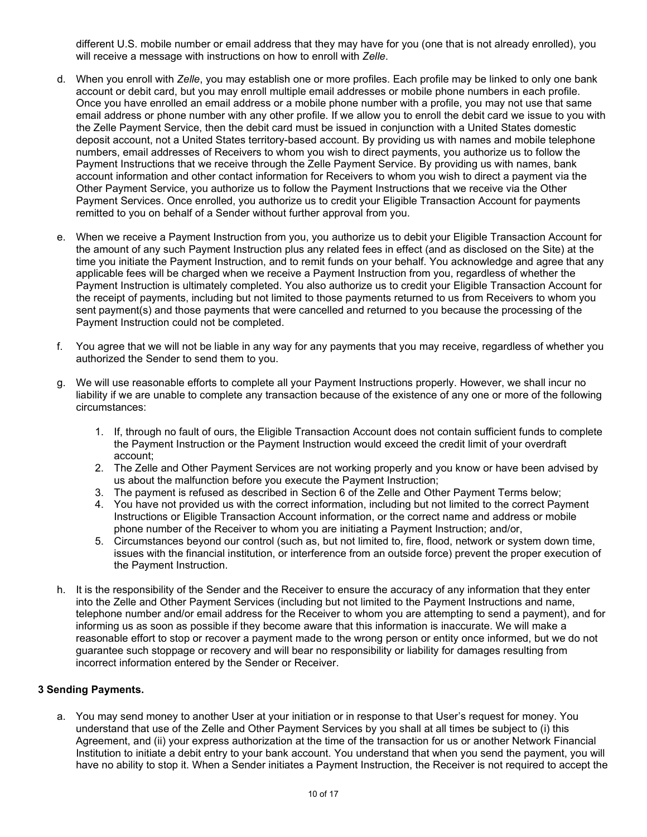different U.S. mobile number or email address that they may have for you (one that is not already enrolled), you will receive a message with instructions on how to enroll with *Zelle*.

- d. When you enroll with *Zelle*, you may establish one or more profiles. Each profile may be linked to only one bank account or debit card, but you may enroll multiple email addresses or mobile phone numbers in each profile. Once you have enrolled an email address or a mobile phone number with a profile, you may not use that same email address or phone number with any other profile. If we allow you to enroll the debit card we issue to you with the Zelle Payment Service, then the debit card must be issued in conjunction with a United States domestic deposit account, not a United States territory-based account. By providing us with names and mobile telephone numbers, email addresses of Receivers to whom you wish to direct payments, you authorize us to follow the Payment Instructions that we receive through the Zelle Payment Service. By providing us with names, bank account information and other contact information for Receivers to whom you wish to direct a payment via the Other Payment Service, you authorize us to follow the Payment Instructions that we receive via the Other Payment Services. Once enrolled, you authorize us to credit your Eligible Transaction Account for payments remitted to you on behalf of a Sender without further approval from you.
- e. When we receive a Payment Instruction from you, you authorize us to debit your Eligible Transaction Account for the amount of any such Payment Instruction plus any related fees in effect (and as disclosed on the Site) at the time you initiate the Payment Instruction, and to remit funds on your behalf. You acknowledge and agree that any applicable fees will be charged when we receive a Payment Instruction from you, regardless of whether the Payment Instruction is ultimately completed. You also authorize us to credit your Eligible Transaction Account for the receipt of payments, including but not limited to those payments returned to us from Receivers to whom you sent payment(s) and those payments that were cancelled and returned to you because the processing of the Payment Instruction could not be completed.
- f. You agree that we will not be liable in any way for any payments that you may receive, regardless of whether you authorized the Sender to send them to you.
- g. We will use reasonable efforts to complete all your Payment Instructions properly. However, we shall incur no liability if we are unable to complete any transaction because of the existence of any one or more of the following circumstances:
	- 1. If, through no fault of ours, the Eligible Transaction Account does not contain sufficient funds to complete the Payment Instruction or the Payment Instruction would exceed the credit limit of your overdraft account;
	- 2. The Zelle and Other Payment Services are not working properly and you know or have been advised by us about the malfunction before you execute the Payment Instruction;
	- 3. The payment is refused as described in Section 6 of the Zelle and Other Payment Terms below;
	- 4. You have not provided us with the correct information, including but not limited to the correct Payment Instructions or Eligible Transaction Account information, or the correct name and address or mobile phone number of the Receiver to whom you are initiating a Payment Instruction; and/or,
	- 5. Circumstances beyond our control (such as, but not limited to, fire, flood, network or system down time, issues with the financial institution, or interference from an outside force) prevent the proper execution of the Payment Instruction.
- h. It is the responsibility of the Sender and the Receiver to ensure the accuracy of any information that they enter into the Zelle and Other Payment Services (including but not limited to the Payment Instructions and name, telephone number and/or email address for the Receiver to whom you are attempting to send a payment), and for informing us as soon as possible if they become aware that this information is inaccurate. We will make a reasonable effort to stop or recover a payment made to the wrong person or entity once informed, but we do not guarantee such stoppage or recovery and will bear no responsibility or liability for damages resulting from incorrect information entered by the Sender or Receiver.

## **3 Sending Payments.**

a. You may send money to another User at your initiation or in response to that User's request for money. You understand that use of the Zelle and Other Payment Services by you shall at all times be subject to (i) this Agreement, and (ii) your express authorization at the time of the transaction for us or another Network Financial Institution to initiate a debit entry to your bank account. You understand that when you send the payment, you will have no ability to stop it. When a Sender initiates a Payment Instruction, the Receiver is not required to accept the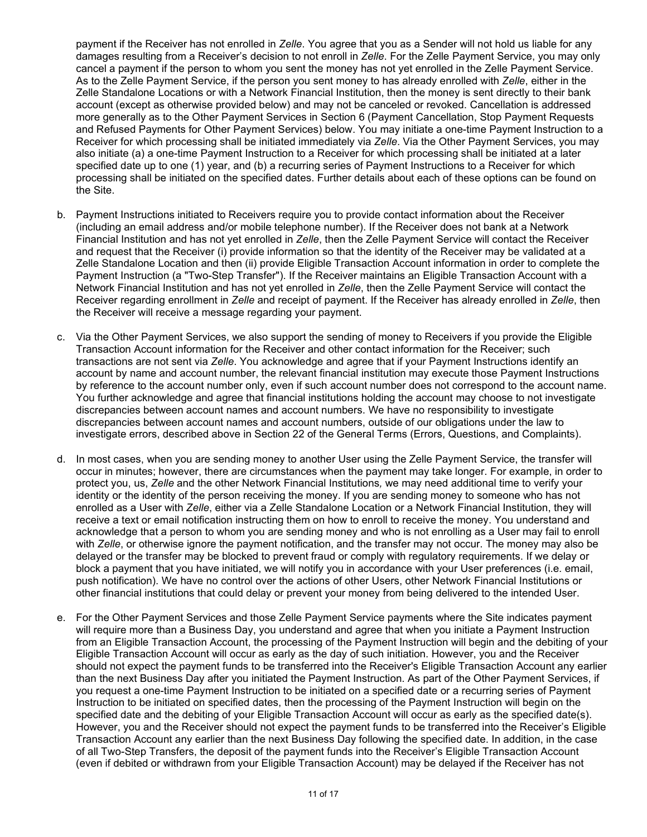payment if the Receiver has not enrolled in *Zelle*. You agree that you as a Sender will not hold us liable for any damages resulting from a Receiver's decision to not enroll in *Zelle*. For the Zelle Payment Service, you may only cancel a payment if the person to whom you sent the money has not yet enrolled in the Zelle Payment Service. As to the Zelle Payment Service, if the person you sent money to has already enrolled with *Zelle*, either in the Zelle Standalone Locations or with a Network Financial Institution, then the money is sent directly to their bank account (except as otherwise provided below) and may not be canceled or revoked. Cancellation is addressed more generally as to the Other Payment Services in Section 6 (Payment Cancellation, Stop Payment Requests and Refused Payments for Other Payment Services) below. You may initiate a one-time Payment Instruction to a Receiver for which processing shall be initiated immediately via *Zelle*. Via the Other Payment Services, you may also initiate (a) a one-time Payment Instruction to a Receiver for which processing shall be initiated at a later specified date up to one (1) year, and (b) a recurring series of Payment Instructions to a Receiver for which processing shall be initiated on the specified dates. Further details about each of these options can be found on the Site.

- b. Payment Instructions initiated to Receivers require you to provide contact information about the Receiver (including an email address and/or mobile telephone number). If the Receiver does not bank at a Network Financial Institution and has not yet enrolled in *Zelle*, then the Zelle Payment Service will contact the Receiver and request that the Receiver (i) provide information so that the identity of the Receiver may be validated at a Zelle Standalone Location and then (ii) provide Eligible Transaction Account information in order to complete the Payment Instruction (a "Two-Step Transfer"). If the Receiver maintains an Eligible Transaction Account with a Network Financial Institution and has not yet enrolled in *Zelle*, then the Zelle Payment Service will contact the Receiver regarding enrollment in *Zelle* and receipt of payment. If the Receiver has already enrolled in *Zelle*, then the Receiver will receive a message regarding your payment.
- c. Via the Other Payment Services, we also support the sending of money to Receivers if you provide the Eligible Transaction Account information for the Receiver and other contact information for the Receiver; such transactions are not sent via *Zelle*. You acknowledge and agree that if your Payment Instructions identify an account by name and account number, the relevant financial institution may execute those Payment Instructions by reference to the account number only, even if such account number does not correspond to the account name. You further acknowledge and agree that financial institutions holding the account may choose to not investigate discrepancies between account names and account numbers. We have no responsibility to investigate discrepancies between account names and account numbers, outside of our obligations under the law to investigate errors, described above in Section 22 of the General Terms (Errors, Questions, and Complaints).
- d. In most cases, when you are sending money to another User using the Zelle Payment Service, the transfer will occur in minutes; however, there are circumstances when the payment may take longer. For example, in order to protect you, us, *Zelle* and the other Network Financial Institutions*,* we may need additional time to verify your identity or the identity of the person receiving the money. If you are sending money to someone who has not enrolled as a User with *Zelle*, either via a Zelle Standalone Location or a Network Financial Institution, they will receive a text or email notification instructing them on how to enroll to receive the money. You understand and acknowledge that a person to whom you are sending money and who is not enrolling as a User may fail to enroll with *Zelle*, or otherwise ignore the payment notification, and the transfer may not occur. The money may also be delayed or the transfer may be blocked to prevent fraud or comply with regulatory requirements. If we delay or block a payment that you have initiated, we will notify you in accordance with your User preferences (i.e. email, push notification). We have no control over the actions of other Users, other Network Financial Institutions or other financial institutions that could delay or prevent your money from being delivered to the intended User.
- e. For the Other Payment Services and those Zelle Payment Service payments where the Site indicates payment will require more than a Business Day, you understand and agree that when you initiate a Payment Instruction from an Eligible Transaction Account, the processing of the Payment Instruction will begin and the debiting of your Eligible Transaction Account will occur as early as the day of such initiation. However, you and the Receiver should not expect the payment funds to be transferred into the Receiver's Eligible Transaction Account any earlier than the next Business Day after you initiated the Payment Instruction. As part of the Other Payment Services, if you request a one-time Payment Instruction to be initiated on a specified date or a recurring series of Payment Instruction to be initiated on specified dates, then the processing of the Payment Instruction will begin on the specified date and the debiting of your Eligible Transaction Account will occur as early as the specified date(s). However, you and the Receiver should not expect the payment funds to be transferred into the Receiver's Eligible Transaction Account any earlier than the next Business Day following the specified date. In addition, in the case of all Two-Step Transfers, the deposit of the payment funds into the Receiver's Eligible Transaction Account (even if debited or withdrawn from your Eligible Transaction Account) may be delayed if the Receiver has not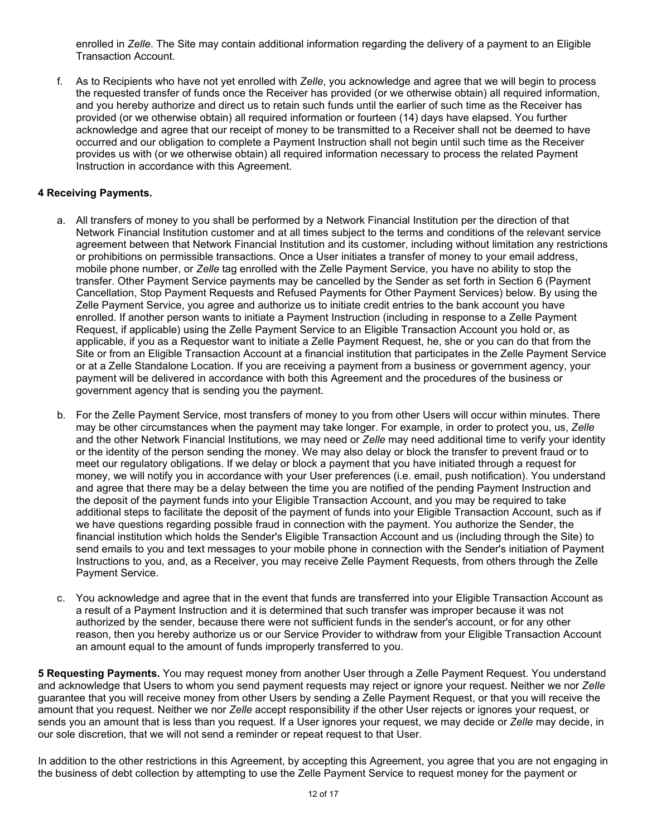enrolled in *Zelle*. The Site may contain additional information regarding the delivery of a payment to an Eligible Transaction Account.

f. As to Recipients who have not yet enrolled with *Zelle*, you acknowledge and agree that we will begin to process the requested transfer of funds once the Receiver has provided (or we otherwise obtain) all required information, and you hereby authorize and direct us to retain such funds until the earlier of such time as the Receiver has provided (or we otherwise obtain) all required information or fourteen (14) days have elapsed. You further acknowledge and agree that our receipt of money to be transmitted to a Receiver shall not be deemed to have occurred and our obligation to complete a Payment Instruction shall not begin until such time as the Receiver provides us with (or we otherwise obtain) all required information necessary to process the related Payment Instruction in accordance with this Agreement.

#### **4 Receiving Payments.**

- a. All transfers of money to you shall be performed by a Network Financial Institution per the direction of that Network Financial Institution customer and at all times subject to the terms and conditions of the relevant service agreement between that Network Financial Institution and its customer, including without limitation any restrictions or prohibitions on permissible transactions. Once a User initiates a transfer of money to your email address, mobile phone number, or *Zelle* tag enrolled with the Zelle Payment Service, you have no ability to stop the transfer. Other Payment Service payments may be cancelled by the Sender as set forth in Section 6 (Payment Cancellation, Stop Payment Requests and Refused Payments for Other Payment Services) below. By using the Zelle Payment Service, you agree and authorize us to initiate credit entries to the bank account you have enrolled. If another person wants to initiate a Payment Instruction (including in response to a Zelle Payment Request, if applicable) using the Zelle Payment Service to an Eligible Transaction Account you hold or, as applicable, if you as a Requestor want to initiate a Zelle Payment Request, he, she or you can do that from the Site or from an Eligible Transaction Account at a financial institution that participates in the Zelle Payment Service or at a Zelle Standalone Location. If you are receiving a payment from a business or government agency, your payment will be delivered in accordance with both this Agreement and the procedures of the business or government agency that is sending you the payment.
- b. For the Zelle Payment Service, most transfers of money to you from other Users will occur within minutes. There may be other circumstances when the payment may take longer. For example, in order to protect you, us, *Zelle* and the other Network Financial Institutions*,* we may need or *Zelle* may need additional time to verify your identity or the identity of the person sending the money. We may also delay or block the transfer to prevent fraud or to meet our regulatory obligations. If we delay or block a payment that you have initiated through a request for money, we will notify you in accordance with your User preferences (i.e. email, push notification). You understand and agree that there may be a delay between the time you are notified of the pending Payment Instruction and the deposit of the payment funds into your Eligible Transaction Account, and you may be required to take additional steps to facilitate the deposit of the payment of funds into your Eligible Transaction Account, such as if we have questions regarding possible fraud in connection with the payment. You authorize the Sender, the financial institution which holds the Sender's Eligible Transaction Account and us (including through the Site) to send emails to you and text messages to your mobile phone in connection with the Sender's initiation of Payment Instructions to you, and, as a Receiver, you may receive Zelle Payment Requests, from others through the Zelle Payment Service.
- c. You acknowledge and agree that in the event that funds are transferred into your Eligible Transaction Account as a result of a Payment Instruction and it is determined that such transfer was improper because it was not authorized by the sender, because there were not sufficient funds in the sender's account, or for any other reason, then you hereby authorize us or our Service Provider to withdraw from your Eligible Transaction Account an amount equal to the amount of funds improperly transferred to you.

**5 Requesting Payments.** You may request money from another User through a Zelle Payment Request. You understand and acknowledge that Users to whom you send payment requests may reject or ignore your request. Neither we nor *Zelle* guarantee that you will receive money from other Users by sending a Zelle Payment Request, or that you will receive the amount that you request. Neither we nor *Zelle* accept responsibility if the other User rejects or ignores your request, or sends you an amount that is less than you request. If a User ignores your request, we may decide or *Zelle* may decide, in our sole discretion, that we will not send a reminder or repeat request to that User.

In addition to the other restrictions in this Agreement, by accepting this Agreement, you agree that you are not engaging in the business of debt collection by attempting to use the Zelle Payment Service to request money for the payment or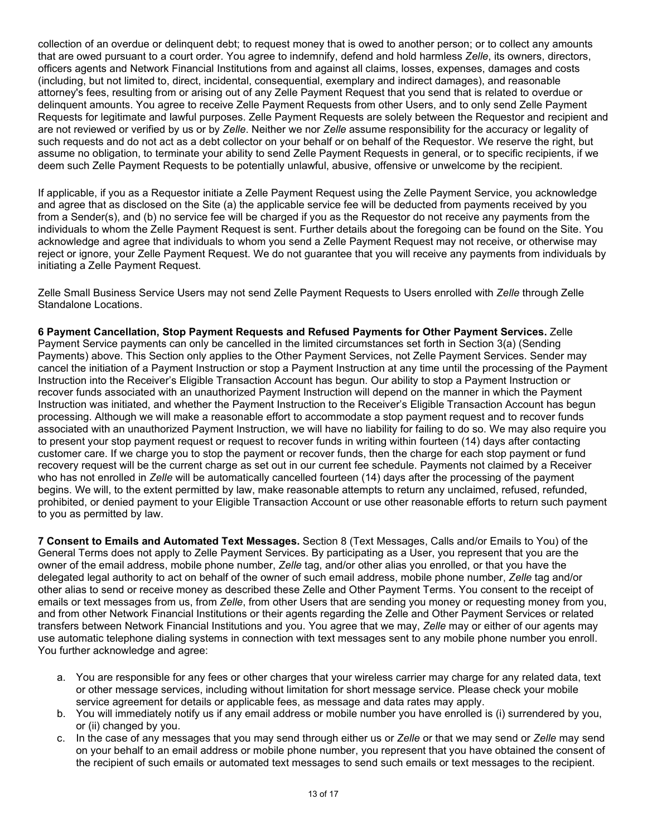collection of an overdue or delinquent debt; to request money that is owed to another person; or to collect any amounts that are owed pursuant to a court order. You agree to indemnify, defend and hold harmless *Zelle*, its owners, directors, officers agents and Network Financial Institutions from and against all claims, losses, expenses, damages and costs (including, but not limited to, direct, incidental, consequential, exemplary and indirect damages), and reasonable attorney's fees, resulting from or arising out of any Zelle Payment Request that you send that is related to overdue or delinquent amounts. You agree to receive Zelle Payment Requests from other Users, and to only send Zelle Payment Requests for legitimate and lawful purposes. Zelle Payment Requests are solely between the Requestor and recipient and are not reviewed or verified by us or by *Zelle*. Neither we nor *Zelle* assume responsibility for the accuracy or legality of such requests and do not act as a debt collector on your behalf or on behalf of the Requestor. We reserve the right, but assume no obligation, to terminate your ability to send Zelle Payment Requests in general, or to specific recipients, if we deem such Zelle Payment Requests to be potentially unlawful, abusive, offensive or unwelcome by the recipient.

If applicable, if you as a Requestor initiate a Zelle Payment Request using the Zelle Payment Service, you acknowledge and agree that as disclosed on the Site (a) the applicable service fee will be deducted from payments received by you from a Sender(s), and (b) no service fee will be charged if you as the Requestor do not receive any payments from the individuals to whom the Zelle Payment Request is sent. Further details about the foregoing can be found on the Site. You acknowledge and agree that individuals to whom you send a Zelle Payment Request may not receive, or otherwise may reject or ignore, your Zelle Payment Request. We do not guarantee that you will receive any payments from individuals by initiating a Zelle Payment Request.

Zelle Small Business Service Users may not send Zelle Payment Requests to Users enrolled with *Zelle* through Zelle Standalone Locations.

**6 Payment Cancellation, Stop Payment Requests and Refused Payments for Other Payment Services.** Zelle Payment Service payments can only be cancelled in the limited circumstances set forth in Section 3(a) (Sending Payments) above. This Section only applies to the Other Payment Services, not Zelle Payment Services. Sender may cancel the initiation of a Payment Instruction or stop a Payment Instruction at any time until the processing of the Payment Instruction into the Receiver's Eligible Transaction Account has begun. Our ability to stop a Payment Instruction or recover funds associated with an unauthorized Payment Instruction will depend on the manner in which the Payment Instruction was initiated, and whether the Payment Instruction to the Receiver's Eligible Transaction Account has begun processing. Although we will make a reasonable effort to accommodate a stop payment request and to recover funds associated with an unauthorized Payment Instruction, we will have no liability for failing to do so. We may also require you to present your stop payment request or request to recover funds in writing within fourteen (14) days after contacting customer care. If we charge you to stop the payment or recover funds, then the charge for each stop payment or fund recovery request will be the current charge as set out in our current fee schedule. Payments not claimed by a Receiver who has not enrolled in *Zelle* will be automatically cancelled fourteen (14) days after the processing of the payment begins. We will, to the extent permitted by law, make reasonable attempts to return any unclaimed, refused, refunded, prohibited, or denied payment to your Eligible Transaction Account or use other reasonable efforts to return such payment to you as permitted by law.

**7 Consent to Emails and Automated Text Messages.** Section 8 (Text Messages, Calls and/or Emails to You) of the General Terms does not apply to Zelle Payment Services. By participating as a User, you represent that you are the owner of the email address, mobile phone number, *Zelle* tag, and/or other alias you enrolled, or that you have the delegated legal authority to act on behalf of the owner of such email address, mobile phone number, *Zelle* tag and/or other alias to send or receive money as described these Zelle and Other Payment Terms. You consent to the receipt of emails or text messages from us, from *Zelle*, from other Users that are sending you money or requesting money from you, and from other Network Financial Institutions or their agents regarding the Zelle and Other Payment Services or related transfers between Network Financial Institutions and you. You agree that we may, *Zelle* may or either of our agents may use automatic telephone dialing systems in connection with text messages sent to any mobile phone number you enroll. You further acknowledge and agree:

- a. You are responsible for any fees or other charges that your wireless carrier may charge for any related data, text or other message services, including without limitation for short message service. Please check your mobile service agreement for details or applicable fees, as message and data rates may apply.
- b. You will immediately notify us if any email address or mobile number you have enrolled is (i) surrendered by you, or (ii) changed by you.
- c. In the case of any messages that you may send through either us or *Zelle* or that we may send or *Zelle* may send on your behalf to an email address or mobile phone number, you represent that you have obtained the consent of the recipient of such emails or automated text messages to send such emails or text messages to the recipient.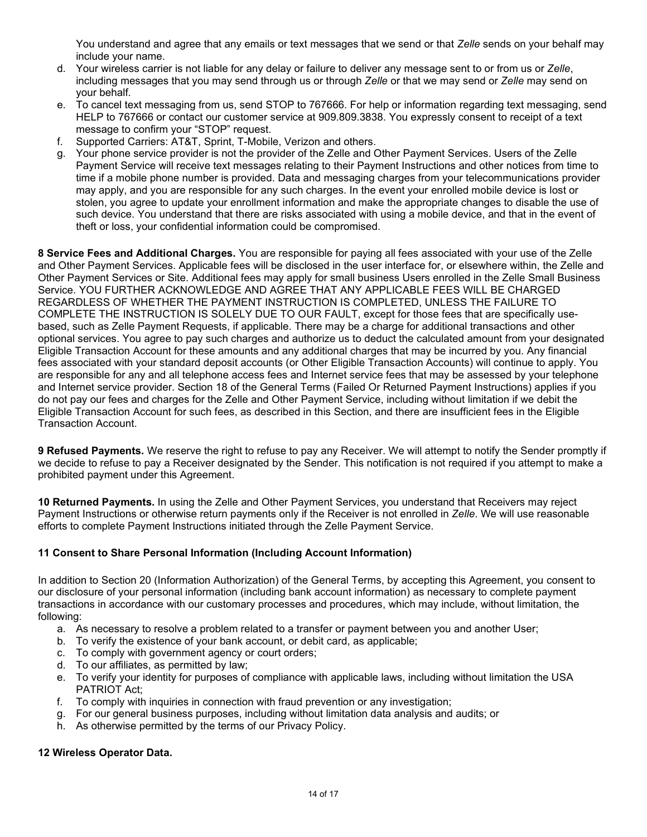You understand and agree that any emails or text messages that we send or that *Zelle* sends on your behalf may include your name.

- d. Your wireless carrier is not liable for any delay or failure to deliver any message sent to or from us or *Zelle*, including messages that you may send through us or through *Zelle* or that we may send or *Zelle* may send on your behalf.
- e. To cancel text messaging from us, send STOP to 767666. For help or information regarding text messaging, send HELP to 767666 or contact our customer service at 909.809.3838. You expressly consent to receipt of a text message to confirm your "STOP" request.
- f. Supported Carriers: AT&T, Sprint, T-Mobile, Verizon and others.
- g. Your phone service provider is not the provider of the Zelle and Other Payment Services. Users of the Zelle Payment Service will receive text messages relating to their Payment Instructions and other notices from time to time if a mobile phone number is provided. Data and messaging charges from your telecommunications provider may apply, and you are responsible for any such charges. In the event your enrolled mobile device is lost or stolen, you agree to update your enrollment information and make the appropriate changes to disable the use of such device. You understand that there are risks associated with using a mobile device, and that in the event of theft or loss, your confidential information could be compromised.

**8 Service Fees and Additional Charges.** You are responsible for paying all fees associated with your use of the Zelle and Other Payment Services. Applicable fees will be disclosed in the user interface for, or elsewhere within, the Zelle and Other Payment Services or Site. Additional fees may apply for small business Users enrolled in the Zelle Small Business Service. YOU FURTHER ACKNOWLEDGE AND AGREE THAT ANY APPLICABLE FEES WILL BE CHARGED REGARDLESS OF WHETHER THE PAYMENT INSTRUCTION IS COMPLETED, UNLESS THE FAILURE TO COMPLETE THE INSTRUCTION IS SOLELY DUE TO OUR FAULT, except for those fees that are specifically usebased, such as Zelle Payment Requests, if applicable. There may be a charge for additional transactions and other optional services. You agree to pay such charges and authorize us to deduct the calculated amount from your designated Eligible Transaction Account for these amounts and any additional charges that may be incurred by you. Any financial fees associated with your standard deposit accounts (or Other Eligible Transaction Accounts) will continue to apply. You are responsible for any and all telephone access fees and Internet service fees that may be assessed by your telephone and Internet service provider. Section 18 of the General Terms (Failed Or Returned Payment Instructions) applies if you do not pay our fees and charges for the Zelle and Other Payment Service, including without limitation if we debit the Eligible Transaction Account for such fees, as described in this Section, and there are insufficient fees in the Eligible Transaction Account.

**9 Refused Payments.** We reserve the right to refuse to pay any Receiver. We will attempt to notify the Sender promptly if we decide to refuse to pay a Receiver designated by the Sender. This notification is not required if you attempt to make a prohibited payment under this Agreement.

**10 Returned Payments.** In using the Zelle and Other Payment Services, you understand that Receivers may reject Payment Instructions or otherwise return payments only if the Receiver is not enrolled in *Zelle*. We will use reasonable efforts to complete Payment Instructions initiated through the Zelle Payment Service.

## **11 Consent to Share Personal Information (Including Account Information)**

In addition to Section 20 (Information Authorization) of the General Terms, by accepting this Agreement, you consent to our disclosure of your personal information (including bank account information) as necessary to complete payment transactions in accordance with our customary processes and procedures, which may include, without limitation, the following:

- a. As necessary to resolve a problem related to a transfer or payment between you and another User;
- b. To verify the existence of your bank account, or debit card, as applicable;
- c. To comply with government agency or court orders;
- d. To our affiliates, as permitted by law;
- e. To verify your identity for purposes of compliance with applicable laws, including without limitation the USA PATRIOT Act;
- f. To comply with inquiries in connection with fraud prevention or any investigation;
- g. For our general business purposes, including without limitation data analysis and audits; or
- h. As otherwise permitted by the terms of our Privacy Policy.

## **12 Wireless Operator Data.**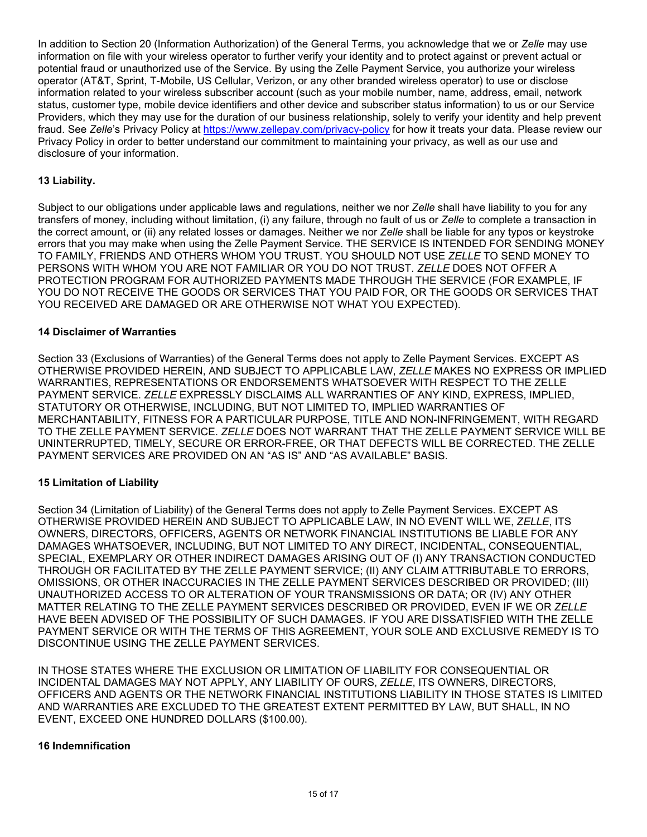In addition to Section 20 (Information Authorization) of the General Terms, you acknowledge that we or *Zelle* may use information on file with your wireless operator to further verify your identity and to protect against or prevent actual or potential fraud or unauthorized use of the Service. By using the Zelle Payment Service, you authorize your wireless operator (AT&T, Sprint, T-Mobile, US Cellular, Verizon, or any other branded wireless operator) to use or disclose information related to your wireless subscriber account (such as your mobile number, name, address, email, network status, customer type, mobile device identifiers and other device and subscriber status information) to us or our Service Providers, which they may use for the duration of our business relationship, solely to verify your identity and help prevent fraud. See Zelle's Privacy Policy at<https://www.zellepay.com/privacy-policy> for how it treats your data. Please review our Privacy Policy in order to better understand our commitment to maintaining your privacy, as well as our use and disclosure of your information.

## **13 Liability.**

Subject to our obligations under applicable laws and regulations, neither we nor *Zelle* shall have liability to you for any transfers of money, including without limitation, (i) any failure, through no fault of us or *Zelle* to complete a transaction in the correct amount, or (ii) any related losses or damages. Neither we nor *Zelle* shall be liable for any typos or keystroke errors that you may make when using the Zelle Payment Service. THE SERVICE IS INTENDED FOR SENDING MONEY TO FAMILY, FRIENDS AND OTHERS WHOM YOU TRUST. YOU SHOULD NOT USE *ZELLE* TO SEND MONEY TO PERSONS WITH WHOM YOU ARE NOT FAMILIAR OR YOU DO NOT TRUST. *ZELLE* DOES NOT OFFER A PROTECTION PROGRAM FOR AUTHORIZED PAYMENTS MADE THROUGH THE SERVICE (FOR EXAMPLE, IF YOU DO NOT RECEIVE THE GOODS OR SERVICES THAT YOU PAID FOR, OR THE GOODS OR SERVICES THAT YOU RECEIVED ARE DAMAGED OR ARE OTHERWISE NOT WHAT YOU EXPECTED).

#### **14 Disclaimer of Warranties**

Section 33 (Exclusions of Warranties) of the General Terms does not apply to Zelle Payment Services. EXCEPT AS OTHERWISE PROVIDED HEREIN, AND SUBJECT TO APPLICABLE LAW, *ZELLE* MAKES NO EXPRESS OR IMPLIED WARRANTIES, REPRESENTATIONS OR ENDORSEMENTS WHATSOEVER WITH RESPECT TO THE ZELLE PAYMENT SERVICE. *ZELLE* EXPRESSLY DISCLAIMS ALL WARRANTIES OF ANY KIND, EXPRESS, IMPLIED, STATUTORY OR OTHERWISE, INCLUDING, BUT NOT LIMITED TO, IMPLIED WARRANTIES OF MERCHANTABILITY, FITNESS FOR A PARTICULAR PURPOSE, TITLE AND NON-INFRINGEMENT, WITH REGARD TO THE ZELLE PAYMENT SERVICE. *ZELLE* DOES NOT WARRANT THAT THE ZELLE PAYMENT SERVICE WILL BE UNINTERRUPTED, TIMELY, SECURE OR ERROR-FREE, OR THAT DEFECTS WILL BE CORRECTED. THE ZELLE PAYMENT SERVICES ARE PROVIDED ON AN "AS IS" AND "AS AVAILABLE" BASIS.

#### **15 Limitation of Liability**

Section 34 (Limitation of Liability) of the General Terms does not apply to Zelle Payment Services. EXCEPT AS OTHERWISE PROVIDED HEREIN AND SUBJECT TO APPLICABLE LAW, IN NO EVENT WILL WE, *ZELLE*, ITS OWNERS, DIRECTORS, OFFICERS, AGENTS OR NETWORK FINANCIAL INSTITUTIONS BE LIABLE FOR ANY DAMAGES WHATSOEVER, INCLUDING, BUT NOT LIMITED TO ANY DIRECT, INCIDENTAL, CONSEQUENTIAL, SPECIAL, EXEMPLARY OR OTHER INDIRECT DAMAGES ARISING OUT OF (I) ANY TRANSACTION CONDUCTED THROUGH OR FACILITATED BY THE ZELLE PAYMENT SERVICE; (II) ANY CLAIM ATTRIBUTABLE TO ERRORS, OMISSIONS, OR OTHER INACCURACIES IN THE ZELLE PAYMENT SERVICES DESCRIBED OR PROVIDED; (III) UNAUTHORIZED ACCESS TO OR ALTERATION OF YOUR TRANSMISSIONS OR DATA; OR (IV) ANY OTHER MATTER RELATING TO THE ZELLE PAYMENT SERVICES DESCRIBED OR PROVIDED, EVEN IF WE OR *ZELLE* HAVE BEEN ADVISED OF THE POSSIBILITY OF SUCH DAMAGES. IF YOU ARE DISSATISFIED WITH THE ZELLE PAYMENT SERVICE OR WITH THE TERMS OF THIS AGREEMENT, YOUR SOLE AND EXCLUSIVE REMEDY IS TO DISCONTINUE USING THE ZELLE PAYMENT SERVICES.

IN THOSE STATES WHERE THE EXCLUSION OR LIMITATION OF LIABILITY FOR CONSEQUENTIAL OR INCIDENTAL DAMAGES MAY NOT APPLY, ANY LIABILITY OF OURS, *ZELLE*, ITS OWNERS, DIRECTORS, OFFICERS AND AGENTS OR THE NETWORK FINANCIAL INSTITUTIONS LIABILITY IN THOSE STATES IS LIMITED AND WARRANTIES ARE EXCLUDED TO THE GREATEST EXTENT PERMITTED BY LAW, BUT SHALL, IN NO EVENT, EXCEED ONE HUNDRED DOLLARS (\$100.00).

#### **16 Indemnification**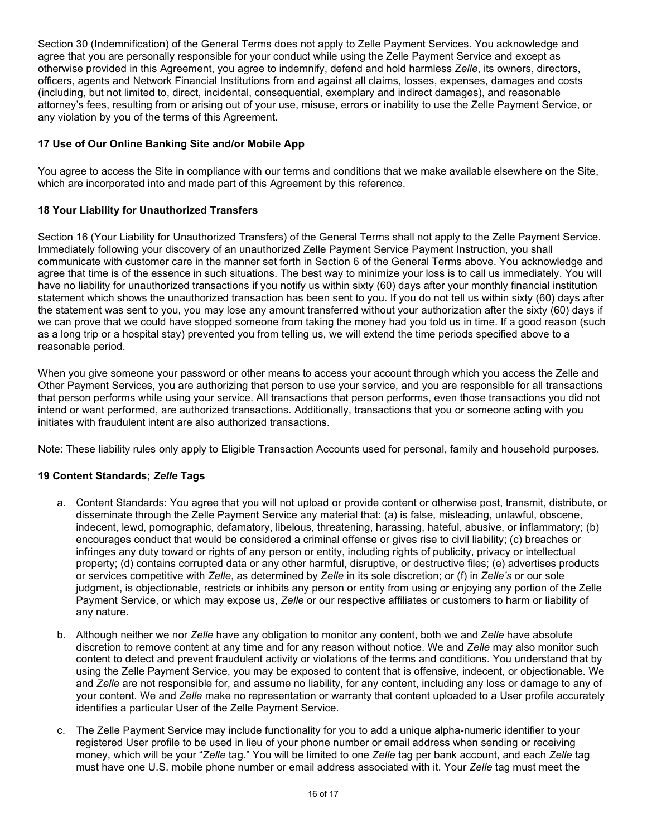Section 30 (Indemnification) of the General Terms does not apply to Zelle Payment Services. You acknowledge and agree that you are personally responsible for your conduct while using the Zelle Payment Service and except as otherwise provided in this Agreement, you agree to indemnify, defend and hold harmless *Zelle*, its owners, directors, officers, agents and Network Financial Institutions from and against all claims, losses, expenses, damages and costs (including, but not limited to, direct, incidental, consequential, exemplary and indirect damages), and reasonable attorney's fees, resulting from or arising out of your use, misuse, errors or inability to use the Zelle Payment Service, or any violation by you of the terms of this Agreement.

## **17 Use of Our Online Banking Site and/or Mobile App**

You agree to access the Site in compliance with our terms and conditions that we make available elsewhere on the Site, which are incorporated into and made part of this Agreement by this reference.

## **18 Your Liability for Unauthorized Transfers**

Section 16 (Your Liability for Unauthorized Transfers) of the General Terms shall not apply to the Zelle Payment Service. Immediately following your discovery of an unauthorized Zelle Payment Service Payment Instruction, you shall communicate with customer care in the manner set forth in Section 6 of the General Terms above. You acknowledge and agree that time is of the essence in such situations. The best way to minimize your loss is to call us immediately. You will have no liability for unauthorized transactions if you notify us within sixty (60) days after your monthly financial institution statement which shows the unauthorized transaction has been sent to you. If you do not tell us within sixty (60) days after the statement was sent to you, you may lose any amount transferred without your authorization after the sixty (60) days if we can prove that we could have stopped someone from taking the money had you told us in time. If a good reason (such as a long trip or a hospital stay) prevented you from telling us, we will extend the time periods specified above to a reasonable period.

When you give someone your password or other means to access your account through which you access the Zelle and Other Payment Services, you are authorizing that person to use your service, and you are responsible for all transactions that person performs while using your service. All transactions that person performs, even those transactions you did not intend or want performed, are authorized transactions. Additionally, transactions that you or someone acting with you initiates with fraudulent intent are also authorized transactions.

Note: These liability rules only apply to Eligible Transaction Accounts used for personal, family and household purposes.

## **19 Content Standards;** *Zelle* **Tags**

- a. Content Standards: You agree that you will not upload or provide content or otherwise post, transmit, distribute, or disseminate through the Zelle Payment Service any material that: (a) is false, misleading, unlawful, obscene, indecent, lewd, pornographic, defamatory, libelous, threatening, harassing, hateful, abusive, or inflammatory; (b) encourages conduct that would be considered a criminal offense or gives rise to civil liability; (c) breaches or infringes any duty toward or rights of any person or entity, including rights of publicity, privacy or intellectual property; (d) contains corrupted data or any other harmful, disruptive, or destructive files; (e) advertises products or services competitive with *Zelle*, as determined by *Zelle* in its sole discretion; or (f) in *Zelle's* or our sole judgment, is objectionable, restricts or inhibits any person or entity from using or enjoying any portion of the Zelle Payment Service, or which may expose us, *Zelle* or our respective affiliates or customers to harm or liability of any nature.
- b. Although neither we nor *Zelle* have any obligation to monitor any content, both we and *Zelle* have absolute discretion to remove content at any time and for any reason without notice. We and *Zelle* may also monitor such content to detect and prevent fraudulent activity or violations of the terms and conditions. You understand that by using the Zelle Payment Service, you may be exposed to content that is offensive, indecent, or objectionable. We and *Zelle* are not responsible for, and assume no liability, for any content, including any loss or damage to any of your content. We and *Zelle* make no representation or warranty that content uploaded to a User profile accurately identifies a particular User of the Zelle Payment Service.
- c. The Zelle Payment Service may include functionality for you to add a unique alpha-numeric identifier to your registered User profile to be used in lieu of your phone number or email address when sending or receiving money, which will be your "*Zelle* tag." You will be limited to one *Zelle* tag per bank account, and each *Zelle* tag must have one U.S. mobile phone number or email address associated with it. Your *Zelle* tag must meet the